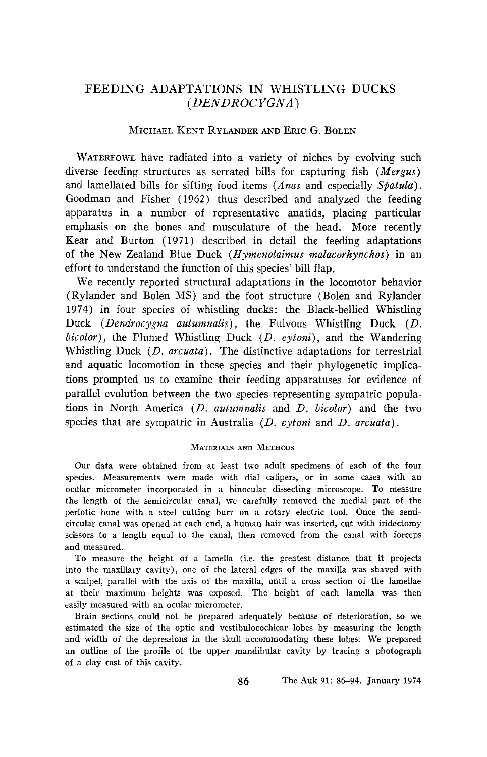# **FEEDING ADAPTATIONS IN WHISTLING DUCKS (DENDROC ¾GNA )**

# **MICHAEL KENT RYLANDER AND ERIC G. BOLEN**

WATERFOWL have radiated into a variety of niches by evolving such **diverse feeding structures as serrated bills for capturing fish (Mergus) and lamellated bills for sifting food items (Anas and especially Spatula). Goodman and Fisher (1962) thus described and analyzed the feeding apparatus in a number of representative anatids, placing particular emphasis on the bones and musculature of the head. More recently Kear and Burton (1971) described in detail the feeding adaptations of the New Zealand Blue Duck (Hymenolaimus malacorhynchos) in an effort to understand the function of this species' bill flap.** 

**We recently reported structural adaptations in the locomotor behavior (Rylander and Bolen MS) and the foot structure (Bolen and Rylander 1974) in four species of whistling ducks: the Black-bellied Whistling Duck (Dendrocygna autumnalis), the Fulvous Whistling Duck (D. bicolor), the Plumed Whistling Duck (D. eytoni), and the Wandering Whistling Duck (D. arcuata). The distinctive adaptations for terrestrial and aquatic locomotion in these species and their phylogenetic implications prompted us to examine their feeding apparatuses for evidence of parallel evolution between the two species representing sympatric populations in North America (D. autumnalis and D. bicolor) and the two species that are sympatric in Australia (D. eytoni and D. arcuata).** 

### **MATERIALS AND METHODS**

**Our data were obtained from at least two adult specimens of each of the four species. Measurements were made with dial calipers, or in some cases with an ocular micrometer incorporated in a binocular dissecting microscope. To measure**  the length of the semicircular canal, we carefully removed the medial part of the **periotic bone with a steel cutting burr on a rotary electric tool. Once the semicircular canal was opened at each end, a human hair was inserted, cut with iridectomy scissors to a length equal to the canal, then removed from the canal with forceps and measured.** 

**To measure the height of a lainella (i.e. the greatest distance that it projects into the maxillary cavity), one of the lateral edges of the maxilla was shaved with a scalpel, parallel with the axis of the maxilla, until a cross section of the lamellae at their maximum heights was exposed. The height of each lainella was then easily measured with an ocular micrometer.** 

**Brain sections could not be prepared adequately because of deterioration, so we estimated the size of the optic and vestibulocochlear lobes by measuring the length and width of the depressions in the skull accommodating these lobes. We prepared an outline of the profile of the upper mandibular cavity by tracing a photograph of a clay cast of this cavity.**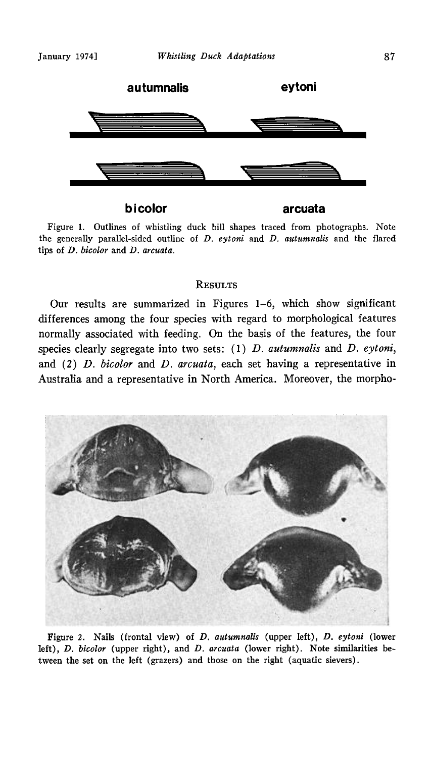

**bicolor** arcuata

**Figure 1. Outlines of whistling duck bill shapes traced from photographs. Note**  the generally parallel-sided outline of *D. eytoni* and *D. autumnalis* and the flared **tips of D. bicolor and D. arcuata.** 

### **RESULTS**

**Our results are summarized in Figures 1-6, which show significant differences among the four species with regard to morphological features normally associated with feeding. On the basis of the features, the four**  species clearly segregate into two sets: (1) *D. autumnalis* and *D. eytoni*, **and (2) D. bicolor and D. arcuata, each set having a representative in Australia and a representative in North America. Moreover, the morpho-**



Figure 2. Nails (frontal view) of *D. autumnalis* (upper left), *D. eytoni* (lower left), *D. bicolor* (upper right), and *D. arcuata* (lower right). Note similarities be**tween the set on the left (grazers) and those on the right (aquatic sievers).**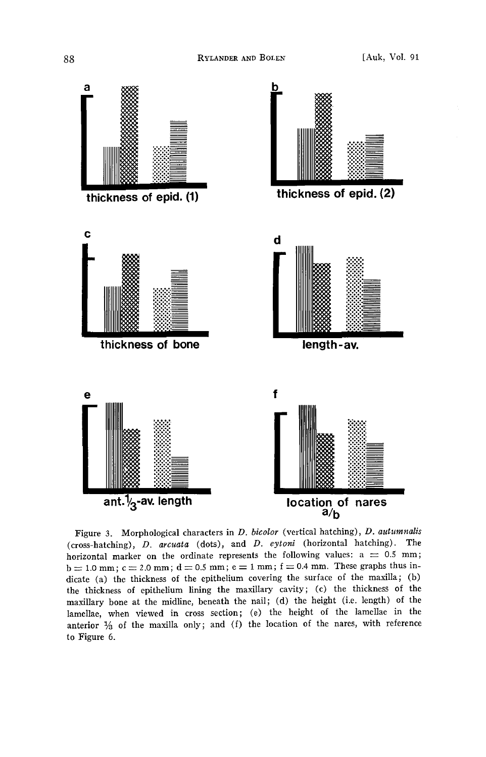

Figure 3. Morphological characters in *D. bicolor* (vertical hatching), *D. autumnalis* **(cross-hatching), D. arcuata (dots), and D. eytoni (horizontal hatching). The**  horizontal marker on the ordinate represents the following values:  $a = 0.5$  mm;  $b = 1.0$  mm;  $c = 2.0$  mm;  $d = 0.5$  mm;  $e = 1$  mm;  $f = 0.4$  mm. These graphs thus indicate (a) the thickness of the epithelium covering the surface of the maxilla; (b) **the thickness of epithelium lining the maxillary cavity; (c) the thickness of the maxillary bone at the midline, beneath the nail; (d) the height (i.e. length) of the lamellae, when viewed in cross section; (e) the height of the lamellae in the**  anterior  $\frac{1}{2}$  of the maxilla only; and (f) the location of the nares, with reference **to Figure 6.**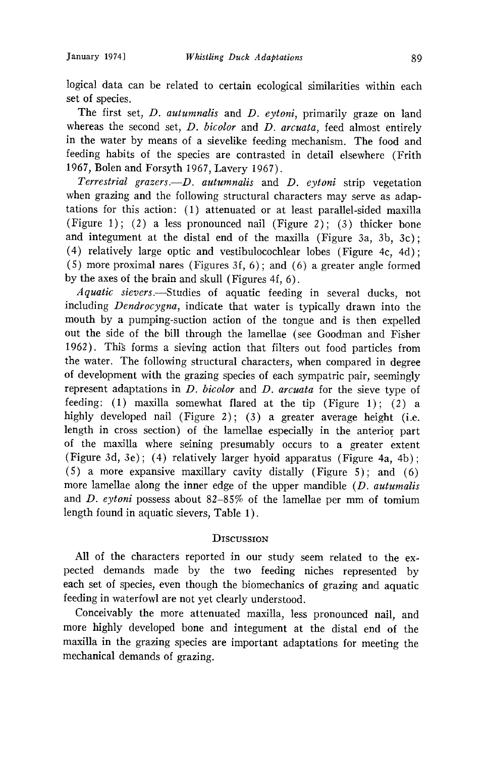**logical data can be related to certain ecological similarities within each set of species.** 

**The first set, D. autumnalis and D. eytoni, primarily graze on land whereas the second set, D. bicolor and D. arcuata, feed almost entirely in the water by means of a sievelike feeding mechanism. The food and feeding habits of the species are contrasted in detail elsewhere (Frith 1967, Bolen and Forsyth 1967, Lavery 1967).** 

Terrestrial grazers.--D. autumnalis and D. eytoni strip vegetation **when grazing and the following structural characters may serve as adaptations for this action: (1) attenuated or at least parallel-sided maxilla (Figure 1); (2) a less pronounced nail (Figure 2); (3) thicker bone and integument at the distal end of the maxilla (Figure 3a, 3b, 3c); (4) relatively large optic and vestibulocochlear lobes (Figure 4c, 4d); (5) more proximal nares (Figures 3f, 6); and (6) a greater angle formed by the axes of the brain and skull (Figures 4f, 6).** 

**Aquatic sievers.--Studies of aquatic feeding in several ducks, not including Dendrocygna, indicate that water is typically drawn into the mouth by a pumping-suction action of the tongue and is then expelled out the side of the bill through the lamellae (see Goodman and Fisher 1962). Thig forms a sieving action that filters out food particles from the water. The following structural characters, when compared in degree of development with the grazing species of each sympatric pair, seemingly represent adaptations in D. bicolor and D. arcuata for the sieve type of feeding: (1) maxilla somewhat flared at the tip (Figure 1); (2) a highly developed nail (Figure 2); (3) a greater average height (i.e. length in cross section) of fhe lamellae especially in the anterior part of the maxilla where seining presumably occurs to a greater extent (Figure 3d, 3e); (4) relatively larger hyoid apparatus (Figure 4a, 4b); (5) a more expansive maxillary cavity distally (Figure 5); and (6) more lamellae along the inner edge of the upper mandible (D. autumalis and D. eytoni possess about 82-85% of the lamellae per mm of tomium length found in aquatic sievers, Table 1).** 

# **DiscussiON**

**All of the characters reported in our study seem related to the expected demands made by the two feeding niches represented by each set of species, even though the biomechanics of grazing and aquatic feeding in waterfowl are not yet clearly understood.** 

**Conceivably the more attenuated maxilla, less pronounced nail, and more highly developed bone and integument at the distal end of the maxilla in the grazing species are important adaptations for meeting the mechanical demands of grazing.**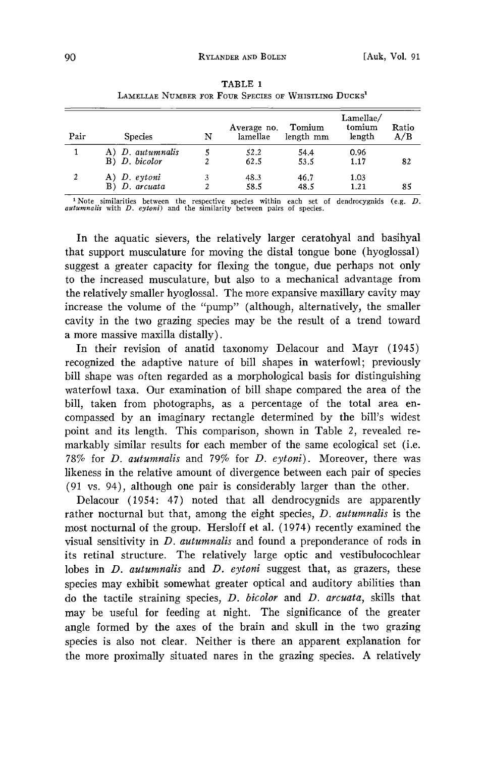| LAMELLAE NUMBER FOR FOUR SPECIES OF WHISTLING DUCKS' |                                   |   |                         |                     |                               |              |  |  |  |
|------------------------------------------------------|-----------------------------------|---|-------------------------|---------------------|-------------------------------|--------------|--|--|--|
| Pair                                                 | <b>Species</b>                    | N | Average no.<br>lamellae | Tomium<br>length mm | Lamellae/<br>tomium<br>length | Ratio<br>A/B |  |  |  |
|                                                      | A) D. autumnalis<br>B) D. bicolor |   | 52.2<br>62.5            | 54.4<br>53.5        | 0.96<br>1.17                  | 82           |  |  |  |
| 2                                                    | A) D. eytoni<br>$B)$ D. arcuata   | 2 | 48.3<br>58.5            | 46.7<br>48.5        | 1.03<br>1.21                  | 85           |  |  |  |

**TABLE 1** 

<sup>1</sup> Note similarities between the respective species within each set of dendrocygnids (e.g. *Lautumnalis* with *D. eytoni*) and the similarity between pairs of species.

**In the aquatic sievers, the relatively larger ceratohyal and basihyal that support musculature for moving the distal tongue bone (hyoglossal) suggest a greater capacity for flexing the tongue, due perhaps not only to the increased musculature, but also to a mechanical advantage from the relatively smaller hyoglossal. The more expansive maxillary cavity may increase the volume of the "pump" (although, alternatively, the smaller cavity in the two grazing species may be the result of a trend toward a more massive maxilla distally).** 

**In their revision of anatid taxonomy Delacour and Mayr (1945) recognized the adaptive nature of bill shapes in waterfowl; previously bill shape was often regarded as a morphological basis for distinguishing waterfowl taxa. Our examination of bill shape compared the area of the bill, taken from photographs, as a percentage of the total area encompassed by an imaginary rectangle determined by the bill's widest point and its length. This comparison, shown in Table 2, revealed remarkably similar results for each member of the same ecological set (i.e. 78% for D. autumnalis and 79% for D. eytoni). Moreover, there was likeness in the relative amount of divergence between each pair of species (91 vs. 94), although one pair is considerably larger than the other.** 

**Delacour (1954: 47) noted that all dendrocygnids are apparently rather nocturnal but that, among the eight species, D. autumnalis is the most nocturnal of the group. Hersloff et al. (1974) recently examined the visual sensitivity in D. autumnalis and found a preponderance of rods in its retinal structure. The relatively large optic and vestibulocochlear lobes in D. autumnalis and D. eytoni suggest that, as grazers, these species may exhibit somewhat greater optical and auditory abilities than do the tactile straining species, D. bicolor and D. arcuata, skills that may be useful for feeding at night. The significance of the greater angle formed by the axes of the brain and skull in the two grazing species is also not dear. Neither is there an apparent explanation for the more proximally situated nares in the grazing species. A relatively**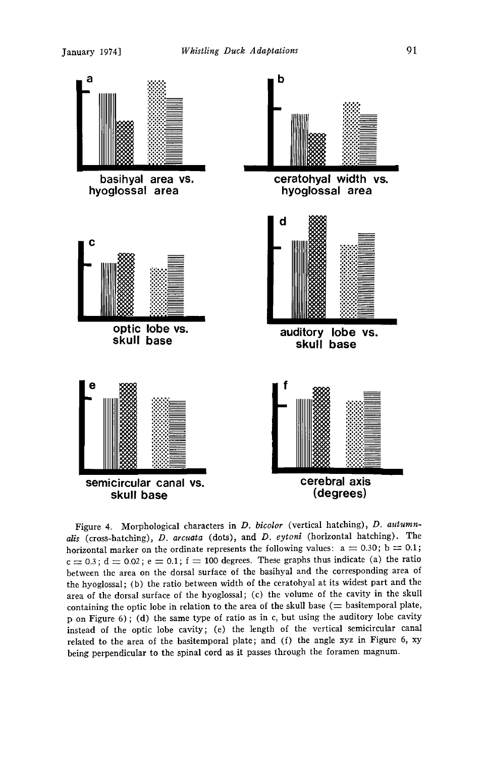

**Figure 4. Morphological characters in D. bicolor (vertical hatching), D. autumnalis (cross-hatching), D. arcuata (dots), and D. eytoni (horizontal hatching). The**  horizontal marker on the ordinate represents the following values:  $a = 0.30$ ;  $b = 0.1$ ;  $c = 0.3$ ;  $d = 0.02$ ;  $e = 0.1$ ;  $f = 100$  degrees. These graphs thus indicate (a) the ratio **between the area on the dorsal surface of the basihyal and the corresponding area of**  the hyoglossal; (b) the ratio between width of the ceratohyal at its widest part and the **area of the dorsal surface of the hyoglossal; (c) the volume of the cavity in the skull**  containing the optic lobe in relation to the area of the skull base  $($   $\equiv$  basitemporal plate, **p on Figure 6); (d) the same type of ratio as in c, but using the auditory lobe cavity instead of the optic lobe cavity; (e) the length of the vertical semicircular canal related to the area of the basitemporal plate; and (f) the angle xyz in Figure 6, xy**  being perpendicular to the spinal cord as it passes through the foramen magnum.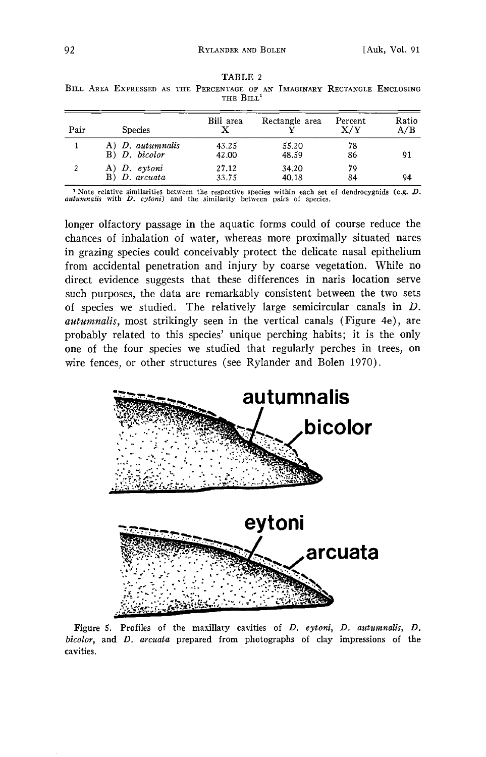| Pair | <b>Species</b>                      | Bill area      | Rectangle area | Percent<br>$\rm X/V$ | Ratio<br>A/B |
|------|-------------------------------------|----------------|----------------|----------------------|--------------|
|      | A) D. autumnalis<br>$B)$ D. bicolor | 43.25<br>42.00 | 55.20<br>48.59 | 78<br>86             | 91           |
| 2    | A) D. eytoni<br>$B)$ D. arcuata     | 27.12<br>33.75 | 34.20<br>40.18 | 79<br>84             | 94           |

**TABLE 2**  BILL AREA EXPRESSED AS THE PERCENTAGE OF AN IMAGINARY RECTANGLE ENCLOSING THE BILL<sup>1</sup>

<sup>1</sup> Note relative similarities between the respective species within each set of dendrocygnids (e.g. *L*) *autumnalis* with *D. eytoni*) and the similarity between pairs of species.

**longer olfactory passage in the aquatic forms could of course reduce the chances of inhalation of water, whereas more proximally situated nares in grazing species could conceivably protect the delicate nasal epithelium from accidental penetration and injury by coarse vegetation. While no direct evidence suggests that these differences in naris location serve such purposes, the data are remarkably consistent between the two sets of species we studied. The relatively large semicircular canals in D. autumnalis, most strikingly seen in the vertical canals (Figure 4e), are probably related to this species' unique perching habits; it is the only one of the four species we studied that regularly perches in trees, on wire fences, or other structures (see Rylander and Bolen 1970).** 



Figure 5. Profiles of the maxillary cavities of *D. eytoni*, *D. autumnalis*, *D.* **b{color, and D. arcuata prepared from photographs of clay impressions of the cavities.**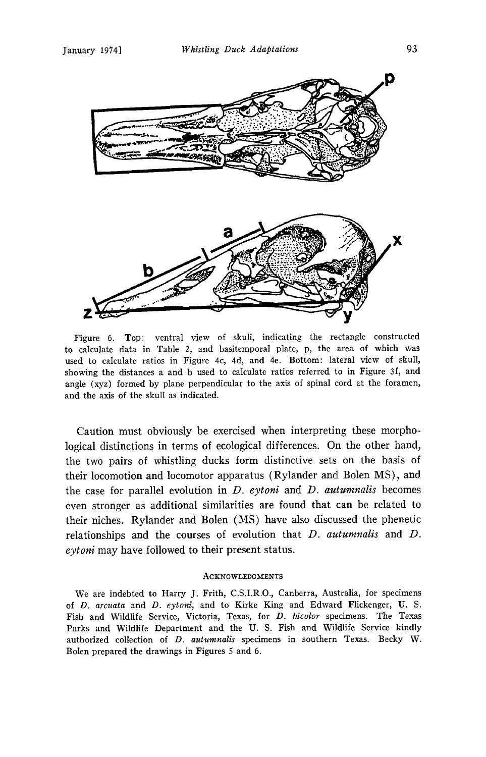

**Figure 6. Top: ventral view of skull, indicating the rectangle constructed to calculate data in Table 2, and basitemporal plate, p, the area of which was used to calculate ratios in Figure 4c, 4d, and 4e. Bottom: lateral view of skull, showing the distances aand b used to calculate ratios referred to in Figure 3f, and angle (xyz) formed by plane perpendicular to the axis of spinal cord at the foramen, and the axis of the skull as indicated.** 

**Caution must obviously be exercised when interpreting these morphological distinctions in terms of ecological differences. On the other hand, the two pairs of whistling ducks form distinctive sets on the basis of their locomotion and locomotor apparatus (Rylander and Bolen MS), and the case for parallel evolution in D. eytoni and D. autumnalis becomes even stronger as additional similarities are found that can be related to their niches. Rylander and Bolen (MS) have also discussed the phenetic relationships and the courses of evolution that D. autumnalis and D. eytoni may have followed to their present status.** 

### **ACKNOWLEDGMENTS**

We are indebted to Harry J. Frith, C.S.I.R.O., Canberra, Australia, for specimens **of D. arcuata and D. eytoni, and to Kirke King and Edward Fllckenger, U.S.**  Fish and Wildlife Service, Victoria, Texas, for *D. bicolor* specimens. The Texas **Parks and Wildlife Department and the U.S. Fish and Wildlife Service kindly**  authorized collection of *D. autumnalis* specimens in southern Texas. Becky W. **Bolen prepared the drawings in Figures 5 and 6.**